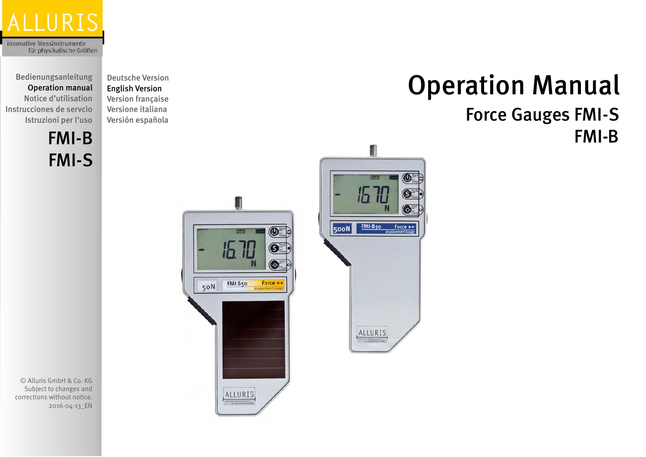

Bedienungsanleitung Operation manual Notice d'utilisation Instrucciones de servcio Istruzioni per l'uso

FMI-S

[Deutsche Version](http://www.alluris.eu/pdfdownloads.php?document=/4_bda/FMI-BS_BDA_DE.pdf) English Version [Version française](http://www.alluris.eu/pdfdownloads.php?document=/4_bda/FMI-BS_BDA_FR.pdf) [Versione italiana](http://www.alluris.eu/pdfdownloads.php?document=/4_bda/FMI-BS_BDA_IT.pdf) [Versión española](http://www.alluris.eu/pdfdownloads.php?document=/4_bda/FMI-BS_BDA_ES.pdf)



Operation Manual

Force Gauges FMI-S

© Alluris GmbH & Co. KG Subject to changes and corrections without notice. 2016-04-13\_EN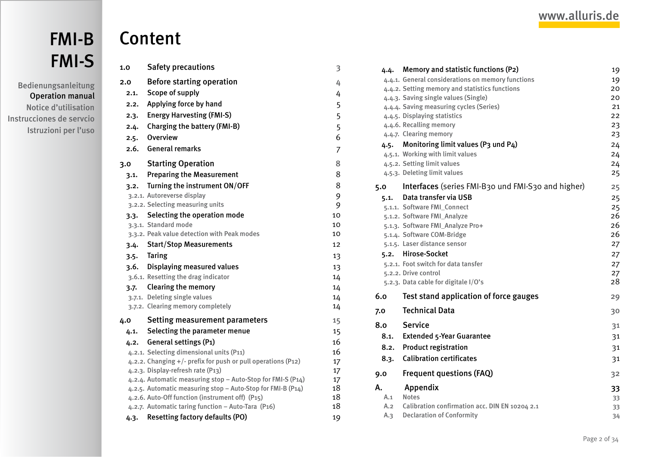<span id="page-1-0"></span>Bedienungsanleitung Operation manual Notice d'utilisation Instrucciones de servcio Istruzioni per l'uso

# Content

| 1.0  | <b>Safety precautions</b>                                                                        | 3              |
|------|--------------------------------------------------------------------------------------------------|----------------|
| 2.0  | <b>Before starting operation</b>                                                                 | 4              |
| 2.1. | Scope of supply                                                                                  | 4              |
| 2.2. | Applying force by hand                                                                           | 5              |
| 2.3. | <b>Energy Harvesting (FMI-S)</b>                                                                 | 5              |
| 2.4. | <b>Charging the battery (FMI-B)</b>                                                              | 5              |
| 2.5. | Overview                                                                                         | 6              |
| 2.6. | <b>General remarks</b>                                                                           | $\overline{7}$ |
| 3.0  | <b>Starting Operation</b>                                                                        | 8              |
| 3.1. | <b>Preparing the Measurement</b>                                                                 | 8              |
| 3.2. | Turning the instrument ON/OFF                                                                    | 8              |
|      | 3.2.1. Autoreverse display                                                                       | 9              |
|      | 3.2.2. Selecting measuring units                                                                 | 9              |
|      | 3.3. Selecting the operation mode                                                                | 10             |
|      | 3.3.1. Standard mode                                                                             | 10             |
|      | 3.3.2. Peak value detection with Peak modes                                                      | 10             |
| 3.4. | <b>Start/Stop Measurements</b>                                                                   | 12             |
|      | 3.5. Taring                                                                                      | 13             |
| 3.6. | <b>Displaying measured values</b>                                                                | 13             |
|      | 3.6.1. Resetting the drag indicator                                                              | 14             |
|      | 3.7. Clearing the memory                                                                         | 14             |
|      | 3.7.1. Deleting single values                                                                    | 14             |
|      | 3.7.2. Clearing memory completely                                                                | 14             |
| 4.0  | <b>Setting measurement parameters</b>                                                            | 15             |
| 4.1. | Selecting the parameter menue                                                                    | 15             |
| 4.2. | <b>General settings (P1)</b>                                                                     | 16             |
|      | 4.2.1. Selecting dimensional units (P11)                                                         | 16             |
|      | 4.2.2. Changing +/- prefix for push or pull operations (P12)                                     | 17             |
|      | 4.2.3. Display-refresh rate (P13)<br>4.2.4. Automatic measuring stop - Auto-Stop for FMI-S (P14) | 17             |
|      | 4.2.5. Automatic measuring stop - Auto-Stop for FMI-B (P14)                                      | 17<br>18       |
|      | 4.2.6. Auto-Off function (instrument off) (P15)                                                  | 18             |
|      | 4.2.7. Automatic taring function - Auto-Tara (P16)                                               | 18             |
| 4.3. | <b>Resetting factory defaults (PO)</b>                                                           | 19             |

|      | 4.4. Memory and statistic functions (P2)           | 19 |
|------|----------------------------------------------------|----|
|      | 4.4.1. General considerations on memory functions  | 19 |
|      | 4.4.2. Setting memory and statistics functions     | 20 |
|      | 4.4.3. Saving single values (Single)               | 20 |
|      | 4.4.4. Saving measuring cycles (Series)            | 21 |
|      | 4.4.5. Displaying statistics                       | 22 |
|      | 4.4.6. Recalling memory                            | 23 |
|      | 4.4.7. Clearing memory                             | 23 |
| 4.5. | Monitoring limit values (P3 und P4)                | 24 |
|      | 4.5.1. Working with limit values                   | 24 |
|      | 4.5.2. Setting limit values                        | 24 |
|      | 4.5.3. Deleting limit values                       | 25 |
| 5.0  | Interfaces (series FMI-B30 und FMI-S30 and higher) | 25 |
| 5.1. | Data transfer via USB                              | 25 |
|      | 5.1.1. Software FMI_Connect                        | 25 |
|      | 5.1.2. Software FMI_Analyze                        | 26 |
|      | 5.1.3. Software FMI_Analyze Pro+                   | 26 |
|      | 5.1.4. Software COM-Bridge                         | 26 |
|      | 5.1.5. Laser distance sensor                       | 27 |
| 5.2. | <b>Hirose-Socket</b>                               | 27 |
|      | 5.2.1. Foot switch for data tansfer                | 27 |
|      | 5.2.2. Drive control                               | 27 |
|      | 5.2.3. Data cable for digitale I/O's               | 28 |
| 6.0  | Test stand application of force gauges             | 29 |
| 7.0  | <b>Technical Data</b>                              | 30 |
| 8.0  | <b>Service</b>                                     | 31 |
| 8.1. | <b>Extended 5-Year Guarantee</b>                   | 31 |
| 8.2. | <b>Product registration</b>                        | 31 |
| 8.3. | <b>Calibration certificates</b>                    | 31 |
| 9.0  | <b>Frequent questions (FAQ)</b>                    | 32 |
| Α.   | Appendix                                           | 33 |
| A.1  | <b>Notes</b>                                       | 33 |
| A.2  | Calibration confirmation acc. DIN EN 10204 2.1     | 33 |
| A.3  | <b>Declaration of Conformity</b>                   | 34 |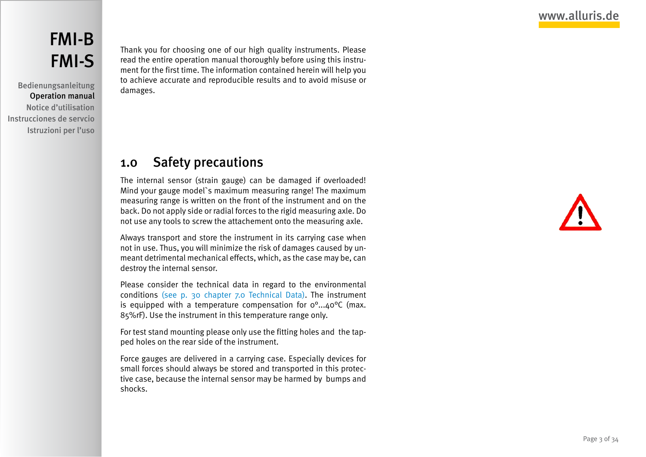# <span id="page-2-0"></span>[FMI-B](#page-1-0) [FMI-S](#page-1-0)

Bedienungsanleitung Operation manual Notice d'utilisation Instrucciones de servcio Istruzioni per l'uso Thank you for choosing one of our high quality instruments. Please read the entire operation manual thoroughly before using this instrument for the first time. The information contained herein will help you to achieve accurate and reproducible results and to avoid misuse or damages.

## 1.0 Safety precautions

The internal sensor (strain gauge) can be damaged if overloaded! Mind your gauge model`s maximum measuring range! The maximum measuring range is written on the front of the instrument and on the back. Do not apply side or radial forces to the rigid measuring axle. Do not use any tools to screw the attachement onto the measuring axle.

Always transport and store the instrument in its carrying case when not in use. Thus, you will minimize the risk of damages caused by unmeant detrimental mechanical effects, which, as the case may be, can destroy the internal sensor.

Please consider the technical data in regard to the environmental conditions [\(see p. 30 chapter 7.0 Technical Data\)](#page-29-1). The instrument is equipped with a temperature compensation for  $o^{\circ}$ ... $4o^{\circ}C$  (max. 85%rF). Use the instrument in this temperature range only.

For test stand mounting please only use the fitting holes and the tapped holes on the rear side of the instrument.

Force gauges are delivered in a carrying case. Especially devices for small forces should always be stored and transported in this protective case, because the internal sensor may be harmed by bumps and shocks.

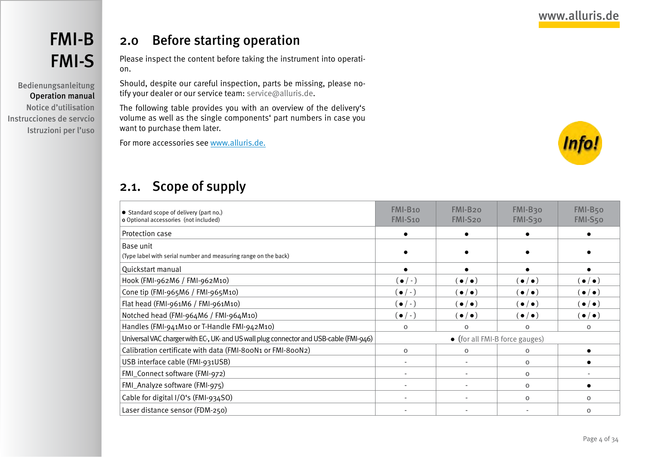<span id="page-3-0"></span>Bedienungsanleitung Operation manual Notice d'utilisation Instrucciones de servcio Istruzioni per l'uso

## 2.0 Before starting operation

Please inspect the content before taking the instrument into operation.

Should, despite our careful inspection, parts be missing, please notify your dealer or our service team: service@alluris.de.

The following table provides you with an overview of the delivery's volume as well as the single components' part numbers in case you want to purchase them later.

For more accessories see [www.alluris.de](http://www.alluris.de/en/).



## 2.1. Scope of supply

| • Standard scope of delivery (part no.)<br>o Optional accessories (not included)       | FMI-B <sub>10</sub><br><b>FMI-S10</b> | FMI-B <sub>20</sub><br>FMI-S20 | FMI-B30<br>FMI-S30  | FMI-B <sub>50</sub><br>FMI-S50 |
|----------------------------------------------------------------------------------------|---------------------------------------|--------------------------------|---------------------|--------------------------------|
| Protection case                                                                        |                                       |                                |                     |                                |
| Base unit                                                                              |                                       |                                |                     |                                |
| (Type label with serial number and measuring range on the back)                        |                                       |                                |                     |                                |
| Quickstart manual                                                                      |                                       |                                |                     |                                |
| Hook (FMI-962M6 / FMI-962M10)                                                          | $(\bullet/\text{-})$                  | $(\bullet/\bullet)$            | $(\bullet/\bullet)$ | $(\bullet/\bullet)$            |
| Cone tip (FMI-965M6 / FMI-965M10)                                                      | $(\bullet/\text{-})$                  | $(\bullet/\bullet)$            | $(\bullet/\bullet)$ | $(\bullet/\bullet)$            |
| Flat head (FMI-961M6 / FMI-961M10)                                                     | $(\bullet/\text{-})$                  | $(\bullet/\bullet)$            | $(\bullet/\bullet)$ | $(\bullet/\bullet)$            |
| Notched head (FMI-964M6 / FMI-964M10)                                                  | $(\bullet/-)$                         | $(\bullet/\bullet)$            | $(\bullet/\bullet)$ | $(\bullet/\bullet)$            |
| Handles (FMI-941M10 or T-Handle FMI-942M10)                                            | $\Omega$                              | $\Omega$                       | $\Omega$            | $\mathbf{o}$                   |
| Universal VAC charger with EC-, UK- and US wall plug connector and USB-cable (FMI-946) | • (for all FMI-B force gauges)        |                                |                     |                                |
| Calibration certificate with data (FMI-800N1 or FMI-800N2)                             | $\mathbf{o}$                          | $\mathbf{o}$                   | $\mathbf 0$         |                                |
| USB interface cable (FMI-931USB)                                                       |                                       |                                | $\mathbf{o}$        |                                |
| FMI_Connect software (FMI-972)                                                         |                                       |                                | $\mathbf{o}$        |                                |
| FMI_Analyze software (FMI-975)                                                         |                                       |                                | $\Omega$            |                                |
| Cable for digital I/O's (FMI-934SO)                                                    |                                       |                                | $\Omega$            | $\Omega$                       |
| Laser distance sensor (FDM-250)                                                        |                                       |                                |                     | $\Omega$                       |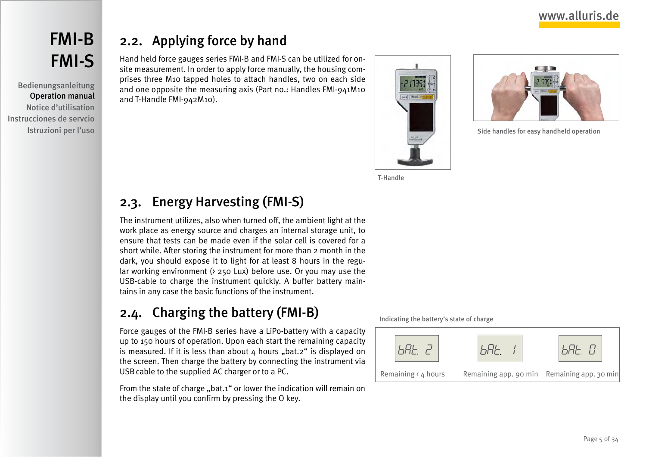<span id="page-4-0"></span>Bedienungsanleitung Operation manual Notice d'utilisation Instrucciones de servcio Istruzioni per l'uso

# 2.2. Applying force by hand

Hand held force gauges series FMI-B and FMI-S can be utilized for onsite measurement. In order to apply force manually, the housing comprises three M10 tapped holes to attach handles, two on each side and one opposite the measuring axis (Part no.: Handles FMI-941M10 and T-Handle FMI-942M10).





Side handles for easy handheld operation

T-Handle

# <span id="page-4-1"></span>2.3. Energy Harvesting (FMI-S)

The instrument utilizes, also when turned off, the ambient light at the work place as energy source and charges an internal storage unit, to ensure that tests can be made even if the solar cell is covered for a short while. After storing the instrument for more than 2 month in the dark, you should expose it to light for at least 8 hours in the regular working environment (> 250 Lux) before use. Or you may use the USB-cable to charge the instrument quickly. A buffer battery maintains in any case the basic functions of the instrument.

# <span id="page-4-2"></span>2.4. Charging the battery (FMI-B)

Force gauges of the FMI-B series have a LiPo-battery with a capacity up to 150 hours of operation. Upon each start the remaining capacity is measured. If it is less than about  $4$  hours "bat.2" is displayed on the screen. Then charge the battery by connecting the instrument via USBcable to the supplied AC charger or to a PC.

From the state of charge "bat.1" or lower the indication will remain on the display until you confirm by pressing the O key.

Indicating the battery's state of charge

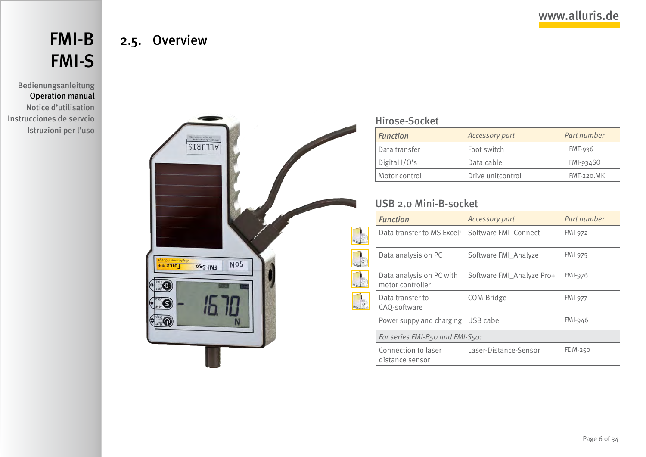# <span id="page-5-0"></span>[FMI-B](#page-1-0) [FMI-S](#page-1-0)

2.5. Overview

### Bedienungsanleitung Operation manual Notice d'utilisation Instrucciones de servcio Istruzioni per l'uso



### [Hirose-Socket](#page-26-1)

 $\frac{d}{dt}$  $\Box$ 

| <b>Function</b> | Accessory part    | Part number   |
|-----------------|-------------------|---------------|
| Data transfer   | Foot switch       | $FMT-936$     |
| Digital $1/O's$ | Data cable        | $FMI-934SO$   |
| Motor control   | Drive unitcontrol | $FMT-220. MK$ |

### [USB 2.0 Mini-B-socket](#page-24-1)

|               | <b>Function</b>                              | <b>Accessory part</b>     | Part number    |  |
|---------------|----------------------------------------------|---------------------------|----------------|--|
| $\frac{1}{2}$ | Data transfer to MS Excel <sup>1</sup>       | Software FMI Connect      | FMI-972        |  |
| $\frac{1}{3}$ | Data analysis on PC                          | Software FMI_Analyze      | <b>FMI-975</b> |  |
| $\frac{1}{2}$ | Data analysis on PC with<br>motor controller | Software FMI Analyze Pro+ | <b>FMI-976</b> |  |
| $\frac{1}{2}$ | Data transfer to<br>CAQ-software             | COM-Bridge                | <b>FMI-977</b> |  |
|               | Power suppy and charging                     | USB cabel                 | $FMI-946$      |  |
|               | For series FMI-B50 and FMI-S50:              |                           |                |  |
|               | Connection to laser<br>distance sensor       | Laser-Distance-Sensor     | FDM-250        |  |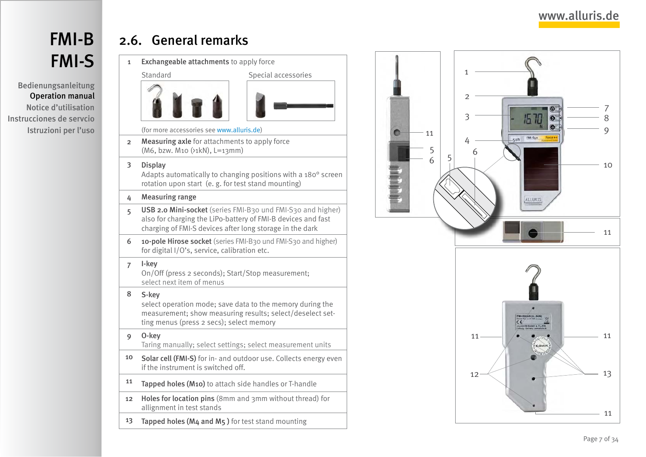# <span id="page-6-0"></span>[FMI-B](#page-1-0) [FMI-S](#page-1-0)

Bedienungsanleitung Operation manual Notice d'utilisation Instrucciones de servcio Istruzioni per l'uso

# 2.6. General remarks

1 Exchangeable attachments to apply force Standard Special accessories

(for more accessories see [www.alluris.de](http://www.alluris.de/en/Force_Measurement/Force_Gauges/Acc_force_measurement/accessories_forcegauges.php) )

2 Measuring axle for attachments to apply force (M6, bzw. M10 (>1kN), L=13mm)

#### 3 Display

Adapts automatically to changing positions with a 180° screen rotation upon start (e. g. for test stand mounting)

#### 4 Measuring range

- 5 USB 2.0 Mini-socket (series FMI-B30 und FMI-S30 and higher) also for charging the LiPo-battery of FMI-B devices and fast charging of FMI-S devices after long storage in the dark
- 6 10-pole Hirose socket (series FMI-B30 und FMI-S30 and higher) for digital I/O's, service, calibration etc.

#### 7 I-key

On/Off (press 2 seconds); Start/Stop measurement; select next item of menus

#### 8 S-key

select operation mode; save data to the memory during the measurement; show measuring results; select/deselect set ting menus (press 2 secs); select memory

- 9 O-key Taring manually; select settings; select measurement units
- 10 Solar cell (FMI-S) for in- and outdoor use. Collects energy even if the instrument is switched off.
- 11 Tapped holes (M10) to attach side handles or T-handle
- 12 Holes for location pins (8mm and 3mm without thread) for allignment in test stands
- 13 Tapped holes (M4 and M5 ) for test stand mounting

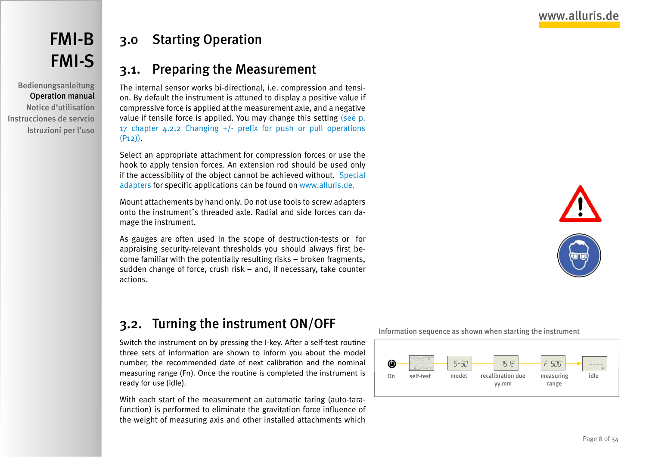<span id="page-7-0"></span>Bedienungsanleitung Operation manual Notice d'utilisation Instrucciones de servcio Istruzioni per l'uso

# 3.0 Starting Operation

## 3.1. Preparing the Measurement

The internal sensor works bi-directional, i.e. compression and tension. By default the instrument is attuned to display a positive value if compressive force is applied at the measurement axle, and a negative value if tensile force is applied. You may change this setting [\(see p.](#page-16-1) [17 chapter 4.2.2 Changing +/- prefix for push or pull operations](#page-16-1)  $(P<sub>12</sub>)$ ).

Select an appropriate attachment for compression forces or use the hook to apply tension forces. An extension rod should be used only if the accessibility of the object cannot be achieved without. [Special](http://www.alluris.de/en/Force_Measurement/Force_Gauges/Acc_force_measurement/accessories_forcegauges.php) [adapters](http://www.alluris.de/en/Force_Measurement/Force_Gauges/Acc_force_measurement/accessories_forcegauges.php) for specific applications can be found on [www.alluris.de.](http://www.alluris.de/en/Force_Measurement/Force_Gauges/Acc_force_measurement/accessories_forcegauges.php)

Mount attachements by hand only. Do not use tools to screw adapters onto the instrument`s threaded axle. Radial and side forces can damage the instrument.

As gauges are often used in the scope of destruction-tests or for appraising security-relevant thresholds you should always first become familiar with the potentially resulting risks – broken fragments, sudden change of force, crush risk – and, if necessary, take counter actions.



# 3.2. Turning the instrument ON/OFF

Switch the instrument on by pressing the I-key. After a self-test routine three sets of information are shown to inform you about the model number, the recommended date of next calibration and the nominal measuring range (Fn). Once the routine is completed the instrument is ready for use (idle).

With each start of the measurement an automatic taring (auto-tarafunction) is performed to eliminate the gravitation force influence of the weight of measuring axis and other installed attachments which

Information sequence as shown when starting the instrument

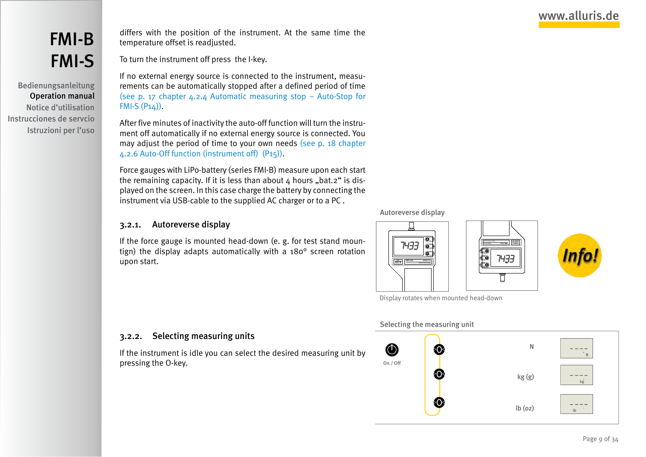# <span id="page-8-0"></span>[FMI-B](#page-1-0) [FMI-S](#page-1-0)

Bedienungsanleitung Operation manual Notice d'utilisation Instrucciones de servcio Istruzioni per l'uso

differs with the position of the instrument. At the same time the temperature offset is readjusted.

To turn the instrument off press the I-key.

If no external energy source is connected to the instrument, measurements can be automatically stopped after a defined period of time [\(see p. 17 chapter 4.2.4 Automatic measuring stop – Auto-Stop for](#page-16-2)  $FMI-S(P14)$ ).

After five minutes of inactivity the auto-off function will turn the instrument off automatically if no external energy source is connected. You may adjust the period of time to your own needs [\(see p. 18 chapter](#page-17-1) [4.2.6 Auto-Off function \(instrument off\) \(P15\)\)](#page-17-1).

Force gauges with LiPo-battery (series FMI-B) measure upon each start the remaining capacity. If it is less than about  $4$  hours "bat.2" is displayed on the screen. In this case charge the battery by connecting the instrument via USB-cable to the supplied AC charger or to a PC .

#### 3.2.1. Autoreverse display

If the force gauge is mounted head-down (e. g. for test stand mountign) the display adapts automatically with a 180° screen rotation upon start.

#### Autoreverse display



Display rotates when mounted head-down

#### 3.2.2. Selecting measuring units

If the instrument is idle you can select the desired measuring unit by pressing the O-key.

#### Selecting the measuring unit

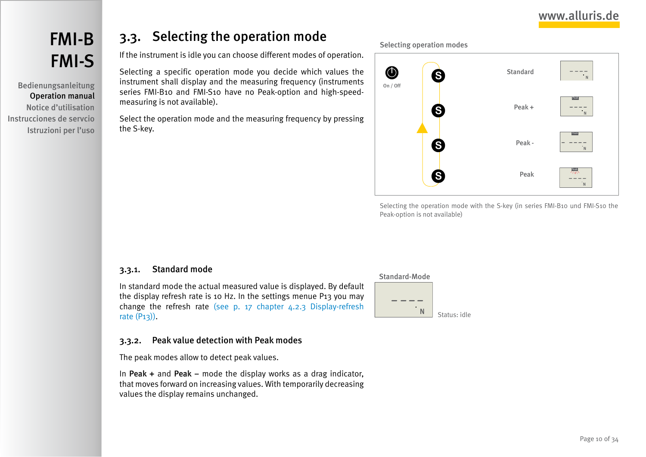# <span id="page-9-0"></span>[FMI-B](#page-1-0) [FMI-S](#page-1-0)

Bedienungsanleitung Operation manual Notice d'utilisation Instrucciones de servcio Istruzioni per l'uso

# <span id="page-9-1"></span>3.3. Selecting the operation mode

If the instrument is idle you can choose different modes of operation.

Selecting a specific operation mode you decide which values the instrument shall display and the measuring frequency (instruments series FMI-B10 and FMI-S10 have no Peak-option and high-speedmeasuring is not available).

Select the operation mode and the measuring frequency by pressing the S-key.

Selecting operation modes



Selecting the operation mode with the S-key (in series FMI-B10 und FMI-S10 the Peak-option is not available)

#### 3.3.1. Standard mode

In standard mode the actual measured value is displayed. By default the display refresh rate is 10 Hz. In the settings menue P13 you may change the refresh rate [\(see p. 17 chapter 4.2.3 Display-refresh](#page-16-3) [rate \(P13\)\).](#page-16-3)

#### 3.3.2. Peak value detection with Peak modes

The peak modes allow to detect peak values.

In Peak + and Peak – mode the display works as a drag indicator, that moves forward on increasing values. With temporarily decreasing values the display remains unchanged.

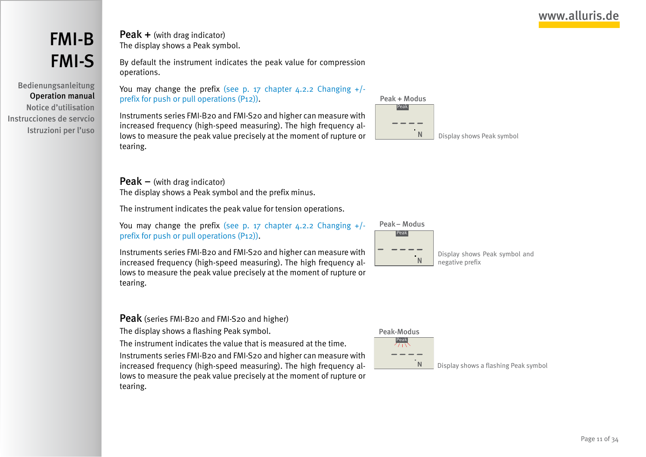Bedienungsanleitung Operation manual Notice d'utilisation Instrucciones de servcio Istruzioni per l'uso Peak + (with drag indicator) The display shows a Peak symbol.

By default the instrument indicates the peak value for compression operations.

You may change the prefix (see p. 17 chapter 4.2.2 Changing  $+/$ [prefix for push or pull operations \(P12\)\).](#page-16-1)

Instruments series FMI-B20 and FMI-S20 and higher can measure with increased frequency (high-speed measuring). The high frequency allows to measure the peak value precisely at the moment of rupture or tearing.

#### **Peak** – (with drag indicator)

The display shows a Peak symbol and the prefix minus.

The instrument indicates the peak value for tension operations.

You may change the prefix (see p. 17 chapter  $4.2.2$  Changing  $+/$ [prefix for push or pull operations \(P12\)\).](#page-16-1)

Instruments series FMI-B20 and FMI-S20 and higher can measure with increased frequency (high-speed measuring). The high frequency allows to measure the peak value precisely at the moment of rupture or tearing.

Peak (series FMI-B20 and FMI-S20 and higher)

The display shows a flashing Peak symbol.

The instrument indicates the value that is measured at the time.

Instruments series FMI-B20 and FMI-S20 and higher can measure with increased frequency (high-speed measuring). The high frequency allows to measure the peak value precisely at the moment of rupture or tearing.





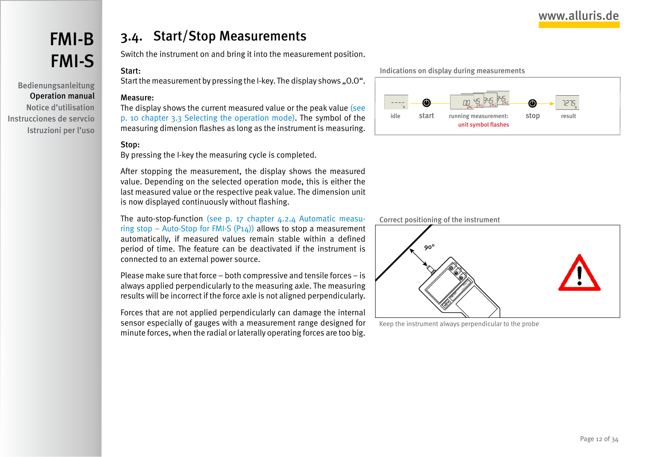<span id="page-11-0"></span>Bedienungsanleitung Operation manual Notice d'utilisation Instrucciones de servcio Istruzioni per l'uso

## 3.4. Start/Stop Measurements

Switch the instrument on and bring it into the measurement position.

### Start:

Start the measurement by pressing the I-key. The display shows ..0.0".

#### Measure:

The display shows the current measured value or the peak value [\(see](#page-9-1) [p. 10 chapter 3.3 Selecting the operation mode\)](#page-9-1). The symbol of the measuring dimension flashes as long as the instrument is measuring.

#### Stop:

By pressing the I-key the measuring cycle is completed.

After stopping the measurement, the display shows the measured value. Depending on the selected operation mode, this is either the last measured value or the respective peak value. The dimension unit is now displayed continuously without flashing.

The auto-stop-function [\(see p. 17 chapter 4.2.4 Automatic measu](#page-16-2)ring stop – Auto-Stop for FMI-S  $(P_14)$  allows to stop a measurement automatically, if measured values remain stable within a defined period of time. The feature can be deactivated if the instrument is connected to an external power source.

Please make sure that force – both compressive and tensile forces – is always applied perpendicularly to the measuring axle. The measuring results will be incorrect if the force axle is not aligned perpendicularly.

Forces that are not applied perpendicularly can damage the internal sensor especially of gauges with a measurement range designed for minute forces, when the radial or laterally operating forces are too big.

Indications on display during measurements



Correct positioning of the instrument



Keep the instrument always perpendicular to the probe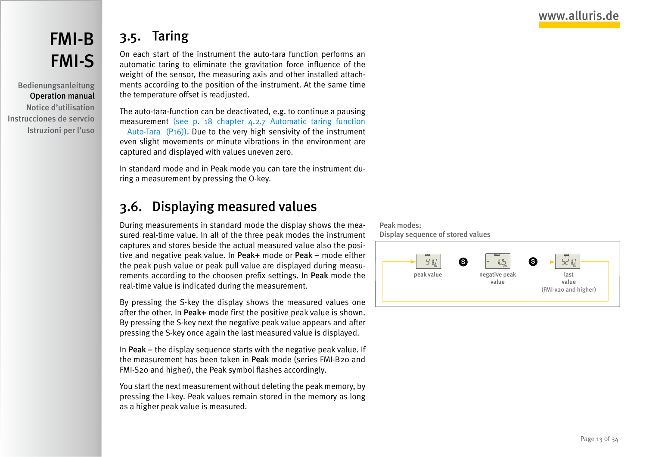# <span id="page-12-0"></span>[FMI-B](#page-1-0) [FMI-S](#page-1-0)

Bedienungsanleitung Operation manual Notice d'utilisation Instrucciones de servcio Istruzioni per l'uso

# 3.5. Taring

On each start of the instrument the auto-tara function performs an automatic taring to eliminate the gravitation force influence of the weight of the sensor, the measuring axis and other installed attachments according to the position of the instrument. At the same time the temperature offset is readjusted.

The auto-tara-function can be deactivated, e.g. to continue a pausing measurement [\(see p. 18 chapter 4.2.7 Automatic taring function](#page-17-2) – Auto-Tara  $(P16)$ ). Due to the very high sensivity of the instrument even slight movements or minute vibrations in the environment are captured and displayed with values uneven zero.

In standard mode and in Peak mode you can tare the instrument during a measurement by pressing the O-key.

# 3.6. Displaying measured values

During measurements in standard mode the display shows the measured real-time value. In all of the three peak modes the instrument captures and stores beside the actual measured value also the positive and negative peak value. In Peak+ mode or Peak – mode either the peak push value or peak pull value are displayed during measurements according to the choosen prefix settings. In Peak mode the real-time value is indicated during the measurement.

By pressing the S-key the display shows the measured values one after the other. In Peak+ mode first the positive peak value is shown. By pressing the S-key next the negative peak value appears and after pressing the S-key once again the last measured value is displayed.

In Peak – the display sequence starts with the negative peak value. If the measurement has been taken in Peak mode (series FMI-B20 and FMI-S20 and higher), the Peak symbol flashes accordingly.

You start the next measurement without deleting the peak memory, by pressing the I-key. Peak values remain stored in the memory as long as a higher peak value is measured.



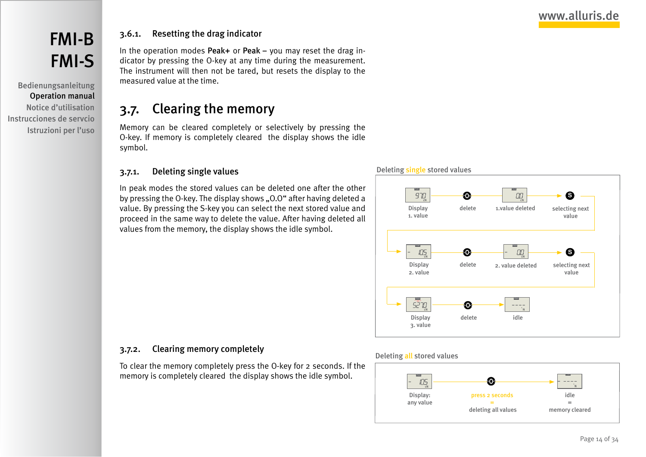# <span id="page-13-0"></span>[FMI-B](#page-1-0) [FMI-S](#page-1-0)

Bedienungsanleitung Operation manual Notice d'utilisation Instrucciones de servcio Istruzioni per l'uso

### 3.6.1. Resetting the drag indicator

In the operation modes Peak+ or Peak – you may reset the drag indicator by pressing the O-key at any time during the measurement. The instrument will then not be tared, but resets the display to the measured value at the time.

## 3.7. Clearing the memory

Memory can be cleared completely or selectively by pressing the O-key. If memory is completely cleared the display shows the idle symbol.

#### 3.7.1. Deleting single values

In peak modes the stored values can be deleted one after the other by pressing the O-key. The display shows "0.0" after having deleted a value. By pressing the S-key you can select the next stored value and proceed in the same way to delete the value. After having deleted all values from the memory, the display shows the idle symbol.





#### 3.7.2. Clearing memory completely

To clear the memory completely press the O-key for 2 seconds. If the memory is completely cleared the display shows the idle symbol.

#### Deleting all stored values

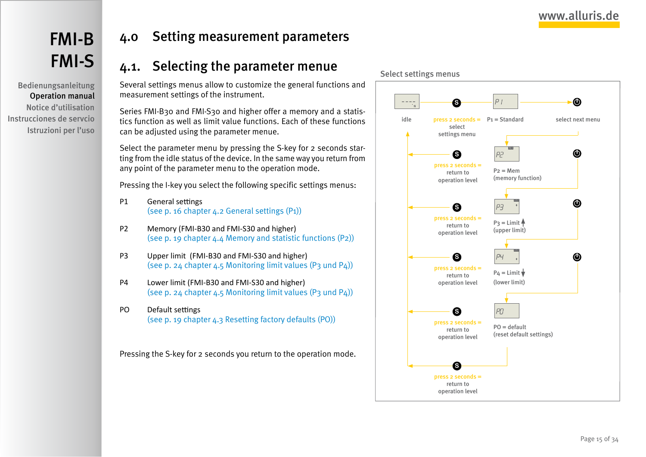<span id="page-14-0"></span>Bedienungsanleitung Operation manual Notice d'utilisation Instrucciones de servcio Istruzioni per l'uso

## 4.0 Setting measurement parameters

## 4.1. Selecting the parameter menue

Several settings menus allow to customize the general functions and measurement settings of the instrument.

Series FMI-B30 and FMI-S30 and higher offer a memory and a statistics function as well as limit value functions. Each of these functions can be adjusted using the parameter menue.

Select the parameter menu by pressing the S-key for 2 seconds starting from the idle status of the device. In the same way you return from any point of the parameter menu to the operation mode.

Pressing the I-key you select the following specific settings menus:

- P1 General settings [\(see p. 16 chapter 4.2 General settings \(P1\)\)](#page-15-1)
- P2 Memory (FMI-B30 and FMI-S30 and higher) (see p. 19 chapter  $4.4$  Memory and statistic functions  $(P2)$ )
- P3 Upper limit (FMI-B30 and FMI-S30 and higher) [\(see p. 24 chapter 4.5 Monitoring limit values \(P3 und P4\)\)](#page-23-1)
- P4 Lower limit (FMI-B30 and FMI-S30 and higher) [\(see p. 24 chapter 4.5 Monitoring limit values \(P3 und P4\)\)](#page-23-1)
- PO Default settings [\(see p. 19 chapter 4.3 Resetting factory defaults \(PO\)\)](#page-18-2)

Pressing the S-key for 2 seconds you return to the operation mode.

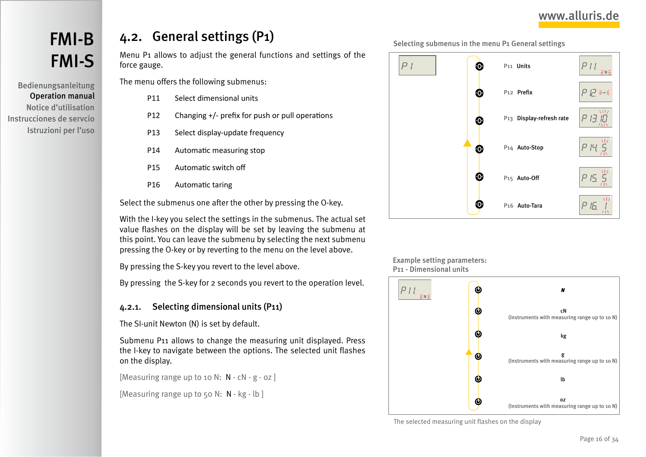# <span id="page-15-0"></span>[FMI-B](#page-1-0) [FMI-S](#page-1-0)

Bedienungsanleitung Operation manual Notice d'utilisation Instrucciones de servcio Istruzioni per l'uso

# <span id="page-15-1"></span>4.2. General settings (P1)

Menu P1 allows to adjust the general functions and settings of the force gauge.

The menu offers the following submenus:

- P11 Select dimensional units
- P12 Changing +/- prefix for push or pull operations
- P13 Select display-update frequency
- P14 Automatic measuring stop
- P15 Automatic switch off
- P16 Automatic taring

Select the submenus one after the other by pressing the O-key.

With the I-key you select the settings in the submenus. The actual set value flashes on the display will be set by leaving the submenu at this point. You can leave the submenu by selecting the next submenu pressing the O-key or by reverting to the menu on the level above.

By pressing the S-key you revert to the level above.

By pressing the S-key for 2 seconds you revert to the operation level.

### 4.2.1. Selecting dimensional units (P11)

The SI-unit Newton (N) is set by default.

Submenu P11 allows to change the measuring unit displayed. Press the I-key to navigate between the options. The selected unit flashes on the display.

[Measuring range up to 10 N:  $N - cN - g - oz$ ]

[Measuring range up to 50 N: N - kg - lb]





Example setting parameters: P11 - Dimensional units



The selected measuring unit flashes on the display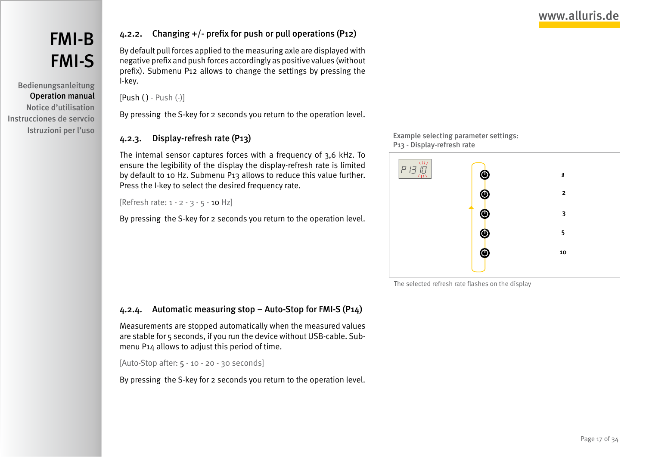<span id="page-16-0"></span>Bedienungsanleitung Operation manual Notice d'utilisation Instrucciones de servcio Istruzioni per l'uso

### <span id="page-16-1"></span>4.2.2. Changing +/- prefix for push or pull operations (P12)

By default pull forces applied to the measuring axle are displayed with negative prefix and push forces accordingly as positive values (without prefix). Submenu P12 allows to change the settings by pressing the I-key.

[Push ( ) - Push (-)]

By pressing the S-key for 2 seconds you return to the operation level.

### <span id="page-16-3"></span>4.2.3. Display-refresh rate (P13)

The internal sensor captures forces with a frequency of 3,6 kHz. To ensure the legibility of the display the display-refresh rate is limited by default to 10 Hz. Submenu P13 allows to reduce this value further. Press the I-key to select the desired frequency rate.

[Refresh rate: 1 - 2 - 3 - 5 - 10 Hz]

By pressing the S-key for 2 seconds you return to the operation level.

Example selecting parameter settings: P13 - Display-refresh rate



The selected refresh rate flashes on the display

### <span id="page-16-2"></span>4.2.4. Automatic measuring stop – Auto-Stop for FMI-S (P14)

Measurements are stopped automatically when the measured values are stable for 5 seconds, if you run the device without USB-cable. Submenu P14 allows to adjust this period of time.

[Auto-Stop after: 5 - 10 - 20 - 30 seconds]

By pressing the S-key for 2 seconds you return to the operation level.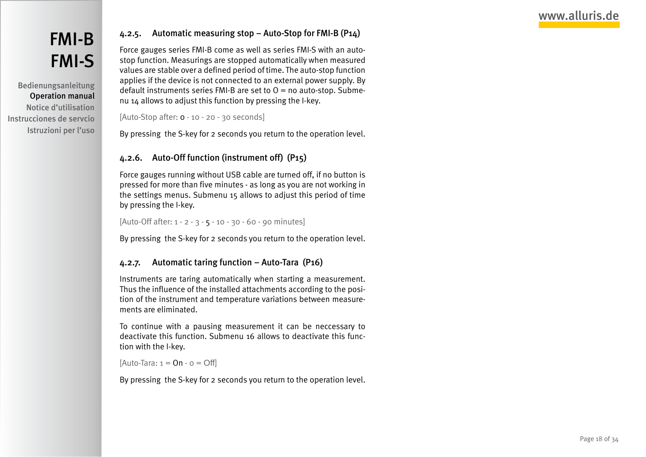# <span id="page-17-0"></span>[FMI-B](#page-1-0) [FMI-S](#page-1-0)

Bedienungsanleitung Operation manual Notice d'utilisation Instrucciones de servcio Istruzioni per l'uso

### 4.2.5. Automatic measuring stop – Auto-Stop for FMI-B (P14)

Force gauges series FMI-B come as well as series FMI-S with an autostop function. Measurings are stopped automatically when measured values are stable over a defined period of time. The auto-stop function applies if the device is not connected to an external power supply. By default instruments series FMI-B are set to  $O =$  no auto-stop. Submenu 14 allows to adjust this function by pressing the I-key.

```
[Auto-Stop after: 0 - 10 - 20 - 30 seconds]
```
By pressing the S-key for 2 seconds you return to the operation level.

### <span id="page-17-1"></span>4.2.6. Auto-Off function (instrument off) (P15)

Force gauges running without USB cable are turned off, if no button is pressed for more than five minutes - as long as you are not working in the settings menus. Submenu 15 allows to adjust this period of time by pressing the I-key.

[Auto-Off after: 1 - 2 - 3 - 5 - 10 - 30 - 60 - 90 minutes]

By pressing the S-key for 2 seconds you return to the operation level.

### <span id="page-17-2"></span>4.2.7. Automatic taring function – Auto-Tara (P16)

Instruments are taring automatically when starting a measurement. Thus the influence of the installed attachments according to the position of the instrument and temperature variations between measurements are eliminated.

To continue with a pausing measurement it can be neccessary to deactivate this function. Submenu 16 allows to deactivate this function with the I-key.

[Auto-Tara:  $1 =$  On  $-$  o  $=$  Off]

By pressing the S-key for 2 seconds you return to the operation level.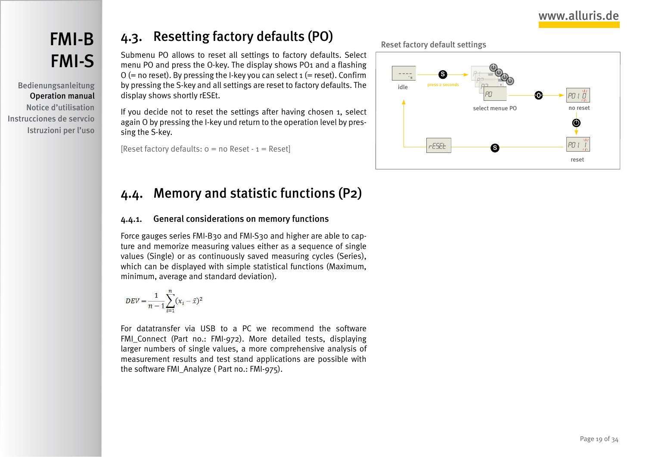# <span id="page-18-0"></span>[FMI-B](#page-1-0) [FMI-S](#page-1-0)

Bedienungsanleitung Operation manual Notice d'utilisation Instrucciones de servcio Istruzioni per l'uso

# <span id="page-18-2"></span>4.3. Resetting factory defaults (PO)

Submenu PO allows to reset all settings to factory defaults. Select menu PO and press the O-key. The display shows PO1 and a flashing  $O$  (= no reset). By pressing the I-key you can select  $1$  (= reset). Confirm by pressing the S-key and all settings are reset to factory defaults. The display shows shortly rESEt.

If you decide not to reset the settings after having chosen 1, select again O by pressing the I-key und return to the operation level by pressing the S-key.

[Reset factory defaults:  $o = no$  Reset -  $1 =$  Reset]

# <span id="page-18-1"></span>4.4. Memory and statistic functions (P2)

### 4.4.1. General considerations on memory functions

Force gauges series FMI-B30 and FMI-S30 and higher are able to capture and memorize measuring values either as a sequence of single values (Single) or as continuously saved measuring cycles (Series), which can be displayed with simple statistical functions (Maximum, minimum, average and standard deviation).

$$
DEV = \frac{1}{n-1} \sum_{i=1}^{n} (x_i - \bar{x})^2
$$

For datatransfer via USB to a PC we recommend the software FMI Connect (Part no.: FMI-972). More detailed tests, displaying larger numbers of single values, a more comprehensive analysis of measurement results and test stand applications are possible with the software FMI\_Analyze ( Part no.: FMI-975).

Reset factory default settings

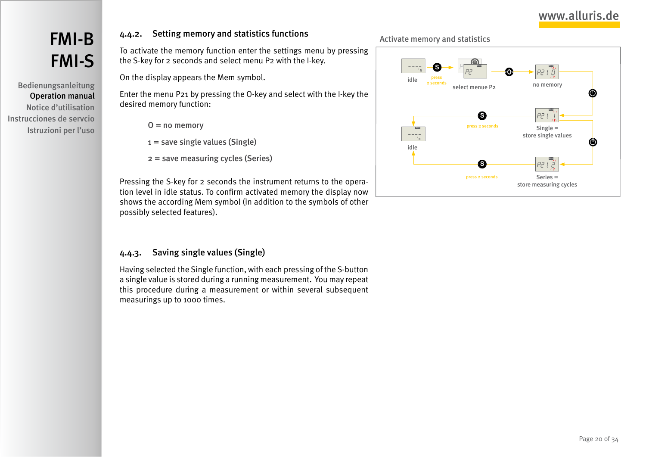# <span id="page-19-0"></span>[FMI-B](#page-1-0) [FMI-S](#page-1-0)

Bedienungsanleitung Operation manual Notice d'utilisation Instrucciones de servcio Istruzioni per l'uso

### <span id="page-19-2"></span>4.4.2. Setting memory and statistics functions

To activate the memory function enter the settings menu by pressing the S-key for 2 seconds and select menu P2 with the I-key.

On the display appears the Mem symbol.

Enter the menu P21 by pressing the O-key and select with the I-key the desired memory function:

- $O = no$  memory
- $1 =$  save single values (Single)
- 2 = save measuring cycles (Series)

Pressing the S-key for 2 seconds the instrument returns to the operation level in idle status. To confirm activated memory the display now shows the according Mem symbol (in addition to the symbols of other possibly selected features).

### <span id="page-19-1"></span>4.4.3. Saving single values (Single)

Having selected the Single function, with each pressing of the S-button a single value is stored during a running measurement. You may repeat this procedure during a measurement or within several subsequent measurings up to 1000 times.

#### Activate memory and statistics

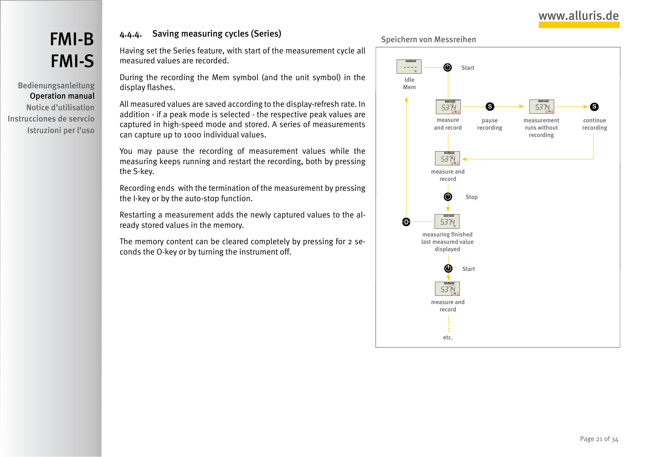# <span id="page-20-0"></span>[FMI-B](#page-1-0) [FMI-S](#page-1-0)

Bedienungsanleitung Operation manual Notice d'utilisation Instrucciones de servcio Istruzioni per l'uso

### 4.4.4. Saving measuring cycles (Series)

Having set the Series feature, with start of the measurement cycle all measured values are recorded.

During the recording the Mem symbol (and the unit symbol) in the display flashes.

All measured values are saved according to the display-refresh rate. In addition - if a peak mode is selected - the respective peak values are captured in high-speed mode and stored. A series of measurements can capture up to 1000 individual values.

You may pause the recording of measurement values while the measuring keeps running and restart the recording, both by pressing the S-key.

Recording ends with the termination of the measurement by pressing the I-key or by the auto-stop function.

Restarting a measurement adds the newly captured values to the already stored values in the memory.

The memory content can be cleared completely by pressing for 2 seconds the O-key or by turning the instrument off.



etc.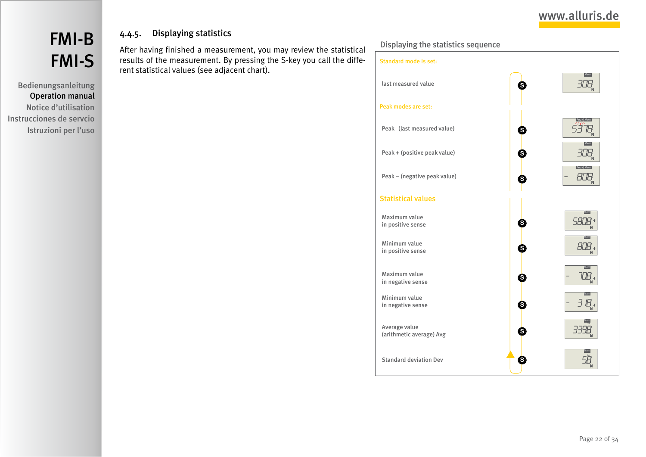# <span id="page-21-0"></span>[FMI-B](#page-1-0) [FMI-S](#page-1-0)

### Bedienungsanleitung Operation manual Notice d'utilisation Instrucciones de servcio Istruzioni per l'uso

### 4.4.5. Displaying statistics

After having finished a measurement, you may review the statistical results of the measurement. By pressing the S-key you call the different statistical values (see adjacent chart).

Displaying the statistics sequence

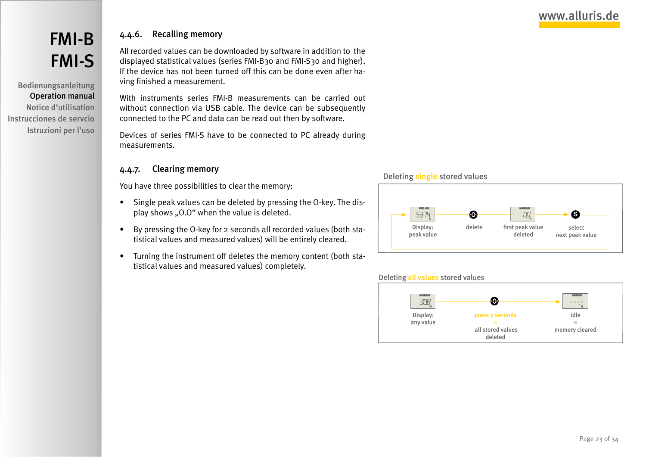# <span id="page-22-0"></span>[FMI-B](#page-1-0) [FMI-S](#page-1-0)

Bedienungsanleitung Operation manual Notice d'utilisation Instrucciones de servcio Istruzioni per l'uso

### 4.4.6. Recalling memory

All recorded values can be downloaded by software in addition to the displayed statistical values (series FMI-B30 and FMI-S30 and higher). If the device has not been turned off this can be done even after having finished a measurement.

With instruments series FMI-B measurements can be carried out without connection via USB cable. The device can be subsequently connected to the PC and data can be read out then by software.

Devices of series FMI-S have to be connected to PC already during measurements.

#### 4.4.7. Clearing memory

You have three possibilities to clear the memory:

- Single peak values can be deleted by pressing the O-key. The display shows "0.0" when the value is deleted.
- • By pressing the O-key for 2 seconds all recorded values (both statistical values and measured values) will be entirely cleared.
- • Turning the instrument off deletes the memory content (both statistical values and measured values) completely.

#### Deleting single stored values



#### Deleting all values stored values

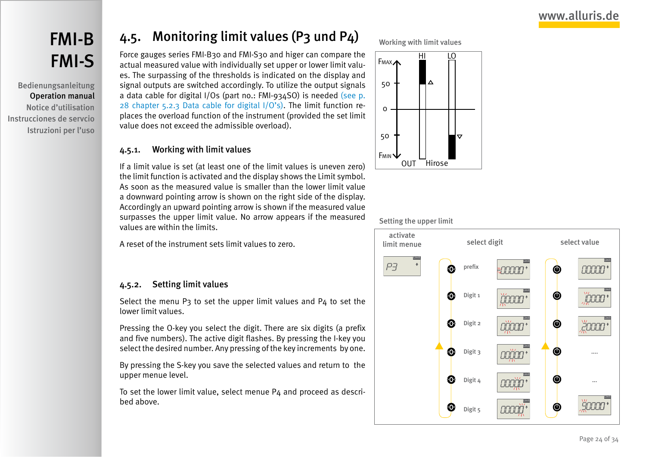<span id="page-23-0"></span>Bedienungsanleitung Operation manual Notice d'utilisation Instrucciones de servcio Istruzioni per l'uso

# <span id="page-23-1"></span>4.5. Monitoring limit values (P3 und P4)

Force gauges series FMI-B30 and FMI-S30 and higer can compare the actual measured value with individually set upper or lower limit values. The surpassing of the thresholds is indicated on the display and signal outputs are switched accordingly. To utilize the output signals a data cable for digital I/Os (part no.: FMI-934SO) is needed [\(see p.](#page-27-1) [28 chapter 5.2.3 Data cable for digital I/O's\)](#page-27-1). The limit function replaces the overload function of the instrument (provided the set limit value does not exceed the admissible overload).

#### 4.5.1. Working with limit values

If a limit value is set (at least one of the limit values is uneven zero) the limit function is activated and the display shows the Limit symbol. As soon as the measured value is smaller than the lower limit value a downward pointing arrow is shown on the right side of the display. Accordingly an upward pointing arrow is shown if the measured value surpasses the upper limit value. No arrow appears if the measured values are within the limits.

A reset of the instrument sets limit values to zero.

### 4.5.2. Setting limit values

Select the menu P3 to set the upper limit values and P4 to set the lower limit values.

Pressing the O-key you select the digit. There are six digits (a prefix and five numbers). The active digit flashes. By pressing the I-key you select the desired number. Any pressing of the key increments by one.

By pressing the S-key you save the selected values and return to the upper menue level.

To set the lower limit value, select menue P4 and proceed as described above.







#### Setting the upper limit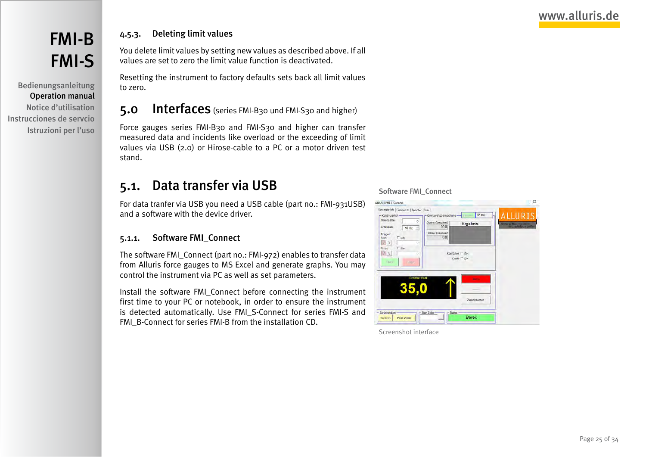# <span id="page-24-0"></span>[FMI-B](#page-1-0) [FMI-S](#page-1-0)

Bedienungsanleitung Operation manual Notice d'utilisation Instrucciones de servcio Istruzioni per l'uso

### 4.5.3. Deleting limit values

You delete limit values by setting new values as described above. If all values are set to zero the limit value function is deactivated.

Resetting the instrument to factory defaults sets back all limit values to zero.

### 5.0 Interfaces (series FMI-B30 und FMI-S30 and higher)

Force gauges series FMI-B30 and FMI-S30 and higher can transfer measured data and incidents like overload or the exceeding of limit values via USB (2.0) or Hirose-cable to a PC or a motor driven test stand.

## <span id="page-24-1"></span>5.1. Data transfer via USB

For data tranfer via USB you need a USB cable (part no.: FMI-931USB) and a software with the device driver.

### <span id="page-24-2"></span>5.1.1. Software FMI\_Connect

The software FMI\_Connect (part no.: FMI-972) enables to transfer data from Alluris force gauges to MS Excel and generate graphs. You may control the instrument via PC as well as set parameters.

Install the software FMI\_Connect before connecting the instrument first time to your PC or notebook, in order to ensure the instrument is detected automatically. Use FMI\_S-Connect for series FMI-S and FMI\_B-Connect for series FMI-B from the installation CD.

#### Software FMI\_Connect



Screenshot interface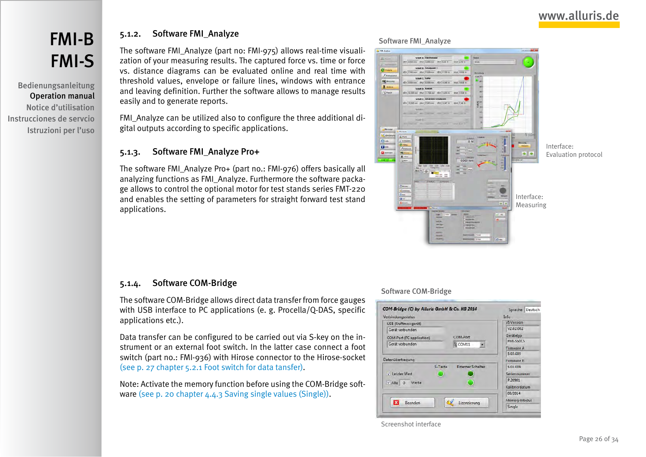<span id="page-25-0"></span>Bedienungsanleitung Operation manual Notice d'utilisation Instrucciones de servcio Istruzioni per l'uso

### <span id="page-25-1"></span>5.1.2. Software FMI\_Analyze

The software FMI\_Analyze (part no: FMI-975) allows real-time visualization of your measuring results. The captured force vs. time or force vs. distance diagrams can be evaluated online and real time with threshold values, envelope or failure lines, windows with entrance and leaving definition. Further the software allows to manage results easily and to generate reports.

FMI\_Analyze can be utilized also to configure the three additional digital outputs according to specific applications.

#### <span id="page-25-2"></span>5.1.3. Software FMI\_Analyze Pro+

The software FMI\_Analyze Pro+ (part no.: FMI-976) offers basically all analyzing functions as FMI\_Analyze. Furthermore the software package allows to control the optional motor for test stands series FMT-220 and enables the setting of parameters for straight forward test stand applications.

#### Software FMI\_Analyze



### <span id="page-25-3"></span>5.1.4. Software COM-Bridge

The software COM-Bridge allows direct data transfer from force gauges with USB interface to PC applications (e. g. Procella/Q-DAS, specific applications etc.).

Data transfer can be configured to be carried out via S-key on the instrument or an external foot switch. In the latter case connect a foot switch (part no.: FMI-936) with Hirose connector to the Hirose-socket [\(see p. 27 chapter 5.2.1 Foot switch for data tansfer\).](#page-26-2)

Note: Activate the memory function before using the COM-Bridge software [\(see p. 20 chapter 4.4.3 Saving single values \(Single\)\).](#page-19-1)

#### Software COM-Bridge



Screenshot interface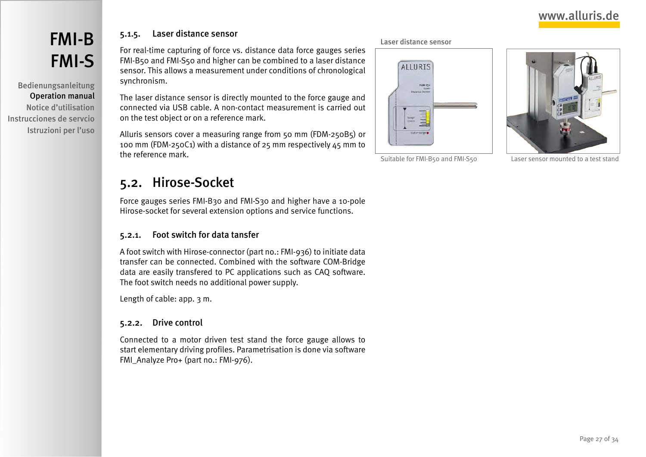# <span id="page-26-0"></span>[FMI-B](#page-1-0) [FMI-S](#page-1-0)

Bedienungsanleitung Operation manual Notice d'utilisation Instrucciones de servcio Istruzioni per l'uso

### 5.1.5. Laser distance sensor

For real-time capturing of force vs. distance data force gauges series FMI-B50 and FMI-S50 and higher can be combined to a laser distance sensor. This allows a measurement under conditions of chronological synchronism.

The laser distance sensor is directly mounted to the force gauge and connected via USB cable. A non-contact measurement is carried out on the test object or on a reference mark.

Alluris sensors cover a measuring range from 50 mm (FDM-250B5) or 100 mm (FDM-250C1) with a distance of 25 mm respectively 45 mm to the reference mark.

## <span id="page-26-1"></span>5.2. Hirose-Socket

Force gauges series FMI-B30 and FMI-S30 and higher have a 10-pole Hirose-socket for several extension options and service functions.

### <span id="page-26-2"></span>5.2.1. Foot switch for data tansfer

A foot switch with Hirose-connector (part no.: FMI-936) to initiate data transfer can be connected. Combined with the software COM-Bridge data are easily transfered to PC applications such as CAQ software. The foot switch needs no additional power supply.

Length of cable: app. 3 m.

#### <span id="page-26-3"></span>5.2.2. Drive control

Connected to a motor driven test stand the force gauge allows to start elementary driving profiles. Parametrisation is done via software FMI\_Analyze Pro+ (part no.: FMI-976).

#### Laser distance sensor



Suitable for FMI-B50 and FMI-S50 Laser sensor mounted to a test stand

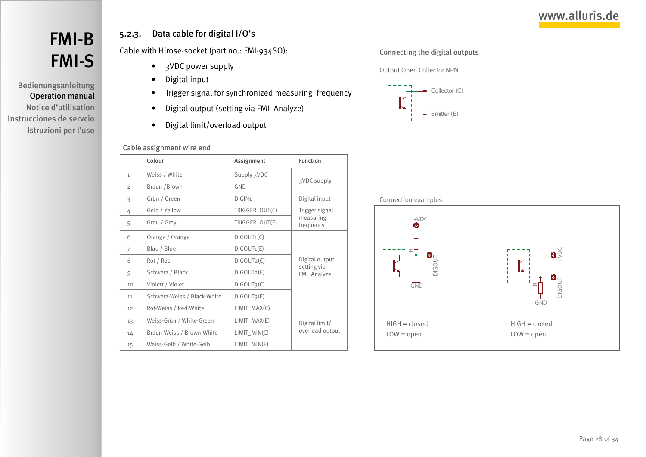<span id="page-27-0"></span>Bedienungsanleitung Operation manual Notice d'utilisation Instrucciones de servcio Istruzioni per l'uso

### 5.2.3. Data cable for digital I/O's

Cable with Hirose-socket (part no.: FMI-934SO):

- <span id="page-27-1"></span>• 3VDC power supply
- • Digital input
- • Trigger signal for synchronized measuring frequency
- • Digital output (setting via FMI\_Analyze)
- • Digital limit/overload output

#### Cable assignment wire end

|                | Colour                      | Assignment              | <b>Function</b>                              |  |
|----------------|-----------------------------|-------------------------|----------------------------------------------|--|
| $\mathbf{1}$   | Weiss / White               | Supply 3VDC             |                                              |  |
| 2              | Braun / Brown               | <b>GND</b>              | 3VDC supply                                  |  |
| 3              | Grün / Green                | DIGIN <sub>1</sub>      | Digital input                                |  |
| 4              | Gelb / Yellow               | TRIGGER_OUT(C)          | Trigger signal                               |  |
| 5              | Grau / Grey                 | TRIGGER_OUT(E)          | measuring<br>frequency                       |  |
| 6              | Orange / Orange             | $DIGOUT_1(C)$           |                                              |  |
| $\overline{7}$ | Blau / Blue                 | DIGOUT1(E)              |                                              |  |
| 8              | Rot / Red                   | DIGOUT2(C)              | Digital output<br>setting via<br>FMI_Analyze |  |
| 9              | Schwarz / Black             | DIGOUT2(E)              |                                              |  |
| 10             | Violett / Violet            | DIGOUT3(C)              |                                              |  |
| 11             | Schwarz-Weiss / Black-White | DIGOUT <sub>3</sub> (E) |                                              |  |
| 12             | Rot-Weiss / Red-White       | $LIMIT_MAX(C)$          |                                              |  |
| 13             | Weiss-Grün / White-Green    | LIMIT_MAX(E)            | Digital limit/                               |  |
| 14             | Braun-Weiss / Brown-White   | $LIMIT_MIN(C)$          | overload output                              |  |
| 15             | Weiss-Gelb / White-Gelb     | $LIMIT_MIN(E)$          |                                              |  |
|                |                             |                         |                                              |  |

#### Connecting the digital outputs



#### Connection examples

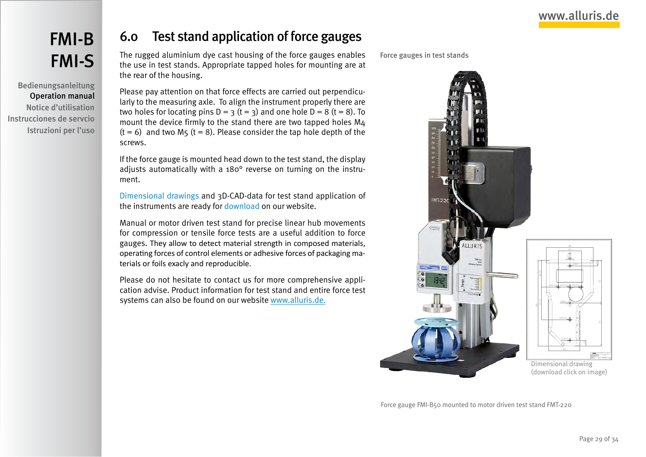<span id="page-28-0"></span>Bedienungsanleitung Operation manual Notice d'utilisation Instrucciones de servcio Istruzioni per l'uso

# 6.0 Test stand application of force gauges

The rugged aluminium dye cast housing of the force gauges enables the use in test stands. Appropriate tapped holes for mounting are at the rear of the housing.

Please pay attention on that force effects are carried out perpendicularly to the measuring axle. To align the instrument properly there are two holes for locating pins  $D = 3$  (t = 3) and one hole  $D = 8$  (t = 8). To mount the device firmly to the stand there are two tapped holes M4  $(t = 6)$  and two M5  $(t = 8)$ . Please consider the tap hole depth of the screws.

If the force gauge is mounted head down to the test stand, the display adjusts automatically with a 180° reverse on turning on the instrument.

[Dimensional drawings](http://www.alluris.de/en/Service/Downloads/dimensional_drawings.php) and 3D-CAD-data for test stand application of the instruments are ready for [download](http://www.alluris.de/en/Service/Downloads/downloads.php) on our website.

Manual or motor driven test stand for precise linear hub movements for compression or tensile force tests are a useful addition to force gauges. They allow to detect material strength in composed materials, operating forces of control elements or adhesive forces of packaging materials or foils exacly and reproducible.

Please do not hesitate to contact us for more comprehensive application advise. Product information for test stand and entire force test systems can also be found on our website [www.alluris.de.](http://www.alluris.de/en/)

Force gauges in test stands



Force gauge FMI-B50 mounted to motor driven test stand FMT-220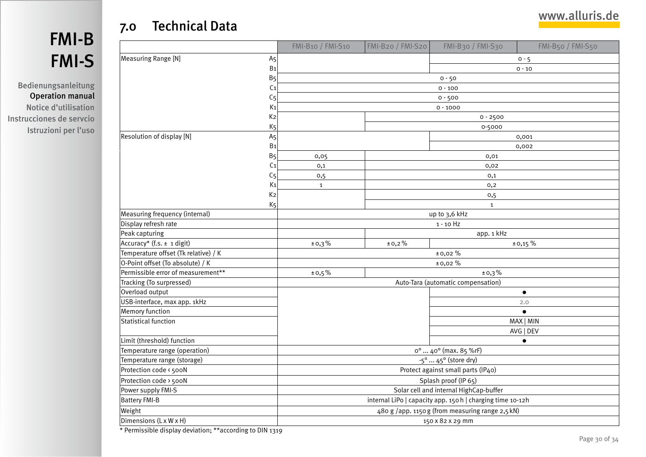# <span id="page-29-1"></span>7.0 Technical Data

<span id="page-29-0"></span>

 $\Gamma$ 

Bedienungsanleitung Operation manual Notice d'utilisation Instrucciones de servcio Istruzioni per l'uso

|                                                          |                | $FMI-B10$ / $FMI-S10$                                      | FMI-B20 / FMI-S20 | $FMI-B30$ / $FMI-S30$              | $FMI-B50$ / $FMI-S50$ |
|----------------------------------------------------------|----------------|------------------------------------------------------------|-------------------|------------------------------------|-----------------------|
| Measuring Range [N]                                      | A <sub>5</sub> |                                                            |                   |                                    | $0 - 5$               |
| B <sub>1</sub><br>B <sub>5</sub>                         |                |                                                            |                   |                                    | $0 - 10$              |
|                                                          |                |                                                            |                   | $0 - 50$                           |                       |
|                                                          | C <sub>1</sub> |                                                            |                   | $0 - 100$                          |                       |
|                                                          | C <sub>5</sub> |                                                            |                   | $0 - 500$                          |                       |
|                                                          | K1             | $0 - 1000$                                                 |                   |                                    |                       |
|                                                          | K2             | $0 - 2500$                                                 |                   |                                    |                       |
|                                                          | K <sub>5</sub> | 0-5000                                                     |                   |                                    |                       |
| Resolution of display [N]                                | A <sub>5</sub> |                                                            |                   |                                    | 0,001                 |
|                                                          | B <sub>1</sub> |                                                            |                   |                                    | 0,002                 |
|                                                          | B <sub>5</sub> | 0,05                                                       |                   | 0,01                               |                       |
|                                                          | C <sub>1</sub> | 0,1                                                        |                   | 0,02                               |                       |
|                                                          | C <sub>5</sub> | 0,5                                                        |                   | 0,1                                |                       |
|                                                          | K <sub>1</sub> | $\mathbf{1}$                                               |                   | 0,2                                |                       |
|                                                          | K2             |                                                            | 0,5               |                                    |                       |
|                                                          | K <sub>5</sub> |                                                            |                   | $\mathbf{1}$                       |                       |
| Measuring frequency (internal)                           |                |                                                            |                   | up to 3,6 kHz                      |                       |
| Display refresh rate                                     |                |                                                            |                   | $1 - 10$ Hz                        |                       |
| Peak capturing                                           |                |                                                            |                   | app. 1 kHz                         |                       |
| Accuracy* (f.s. ± 1 digit)                               |                | ±0,3%                                                      | ±0,2%             |                                    | ± 0,15%               |
| Temperature offset (Tk relative) / K                     |                |                                                            | ±0,02%            |                                    |                       |
| O-Point offset (To absolute) / K                         |                |                                                            |                   | ±0,02 %                            |                       |
| Permissible error of measurement**                       |                | ±0,5%<br>±0,3%                                             |                   |                                    |                       |
| Tracking (To surpressed)                                 |                |                                                            |                   | Auto-Tara (automatic compensation) |                       |
| Overload output                                          |                |                                                            |                   |                                    | $\bullet$             |
| USB-interface, max app. 1kHz                             |                |                                                            |                   |                                    | 2.0                   |
| Memory function                                          |                |                                                            |                   |                                    | $\bullet$             |
| <b>Statistical function</b>                              |                |                                                            |                   |                                    | MAX   MIN             |
|                                                          |                |                                                            |                   |                                    | AVG   DEV             |
| Limit (threshold) function                               |                |                                                            |                   |                                    | $\bullet$             |
| Temperature range (operation)                            |                | o <sup>o</sup> 40° (max. 85 %rF)                           |                   |                                    |                       |
| Temperature range (storage)                              |                | $-5^{\circ}  45^{\circ}$ (store dry)                       |                   |                                    |                       |
| Protection code < 500N                                   |                | Protect against small parts (IP40)                         |                   |                                    |                       |
| Protection code > 500N                                   |                | Splash proof (IP 65)                                       |                   |                                    |                       |
| Power supply FMI-S                                       |                | Solar cell and internal HighCap-buffer                     |                   |                                    |                       |
| <b>Battery FMI-B</b>                                     |                | internal LiPo   capacity app. 150 h   charging time 10-12h |                   |                                    |                       |
| Weight                                                   |                | 480 g /app. 1150 g (from measuring range 2,5 kN)           |                   |                                    |                       |
| Dimensions (L x W x H)                                   |                | 150 x 82 x 29 mm                                           |                   |                                    |                       |
| * Permissible display deviation; **according to DIN 1319 |                |                                                            |                   |                                    |                       |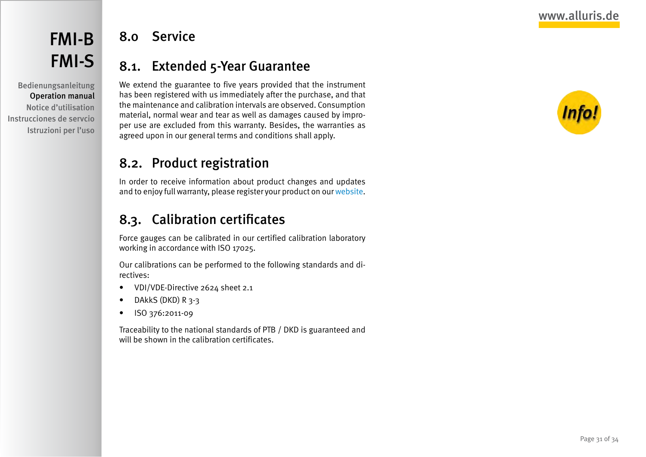<span id="page-30-0"></span>Bedienungsanleitung Operation manual Notice d'utilisation Instrucciones de servcio Istruzioni per l'uso

# 8.0 Service

# 8.1. Extended 5-Year Guarantee

We extend the guarantee to five years provided that the instrument has been registered with us immediately after the purchase, and that the maintenance and calibration intervals are observed. Consumption material, normal wear and tear as well as damages caused by improper use are excluded from this warranty. Besides, the warranties as agreed upon in our general terms and conditions shall apply.

# 8.2. Product registration

In order to receive information about product changes and updates and to enjoy full warranty, please register your product on our [website](http://www.alluris.de/en/product_register/register.php).

# <span id="page-30-1"></span>8.3. Calibration certificates

Force gauges can be calibrated in our certified calibration laboratory working in accordance with ISO 17025.

Our calibrations can be performed to the following standards and directives:

- VDI/VDE-Directive 2624 sheet 2.1
- DAkkS (DKD) R 3-3
- • ISO 376:2011-09

Traceability to the national standards of PTB / DKD is guaranteed and will be shown in the calibration certificates.

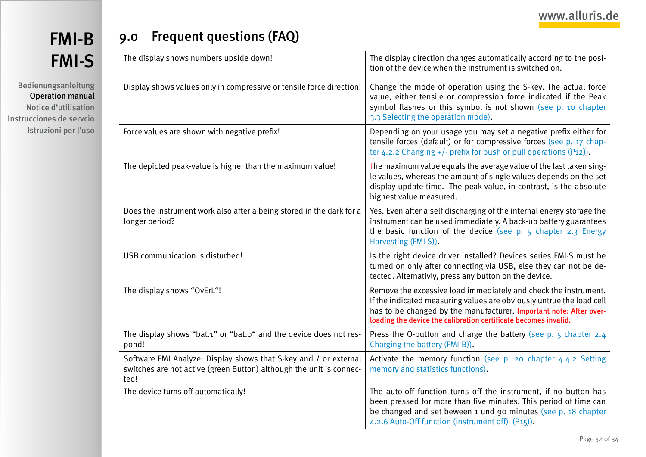<span id="page-31-0"></span>Bedienungsanleitung Operation manual Notice d'utilisation Instrucciones de servcio Istruzioni per l'uso

# 9.0 Frequent questions (FAQ)

| The display shows numbers upside down!                                                                                                          | The display direction changes automatically according to the posi-<br>tion of the device when the instrument is switched on.                                                                                                                                                     |
|-------------------------------------------------------------------------------------------------------------------------------------------------|----------------------------------------------------------------------------------------------------------------------------------------------------------------------------------------------------------------------------------------------------------------------------------|
| Display shows values only in compressive or tensile force direction!                                                                            | Change the mode of operation using the S-key. The actual force<br>value, either tensile or compression force indicated if the Peak<br>symbol flashes or this symbol is not shown (see p. 10 chapter<br>3.3 Selecting the operation mode).                                        |
| Force values are shown with negative prefix!                                                                                                    | Depending on your usage you may set a negative prefix either for<br>tensile forces (default) or for compressive forces (see p. 17 chap-<br>ter 4.2.2 Changing +/- prefix for push or pull operations (P12)).                                                                     |
| The depicted peak-value is higher than the maximum value!                                                                                       | The maximum value equals the average value of the last taken sing-<br>le values, whereas the amount of single values depends on the set<br>display update time. The peak value, in contrast, is the absolute<br>highest value measured.                                          |
| Does the instrument work also after a being stored in the dark for a<br>longer period?                                                          | Yes. Even after a self discharging of the internal energy storage the<br>instrument can be used immediately. A back-up battery guarantees<br>the basic function of the device (see $p. 5$ chapter 2.3 Energy<br>Harvesting (FMI-S)).                                             |
| USB communication is disturbed!                                                                                                                 | Is the right device driver installed? Devices series FMI-S must be<br>turned on only after connecting via USB, else they can not be de-<br>tected. Alternativly, press any button on the device.                                                                                 |
| The display shows "OvErL"!                                                                                                                      | Remove the excessive load immediately and check the instrument.<br>If the indicated measuring values are obviously untrue the load cell<br>has to be changed by the manufacturer. Important note: After over-<br>loading the device the calibration certificate becomes invalid. |
| The display shows "bat.1" or "bat.0" and the device does not res-<br>pond!                                                                      | Press the O-button and charge the battery (see p. 5 chapter 2.4<br>Charging the battery (FMI-B)).                                                                                                                                                                                |
| Software FMI Analyze: Display shows that S-key and / or external<br>switches are not active (green Button) although the unit is connec-<br>ted! | Activate the memory function (see p. 20 chapter 4.4.2 Setting<br>memory and statistics functions).                                                                                                                                                                               |
| The device turns off automatically!                                                                                                             | The auto-off function turns off the instrument, if no button has<br>been pressed for more than five minutes. This period of time can<br>be changed and set beween 1 und 90 minutes (see p. 18 chapter<br>4.2.6 Auto-Off function (instrument off) (P15)).                        |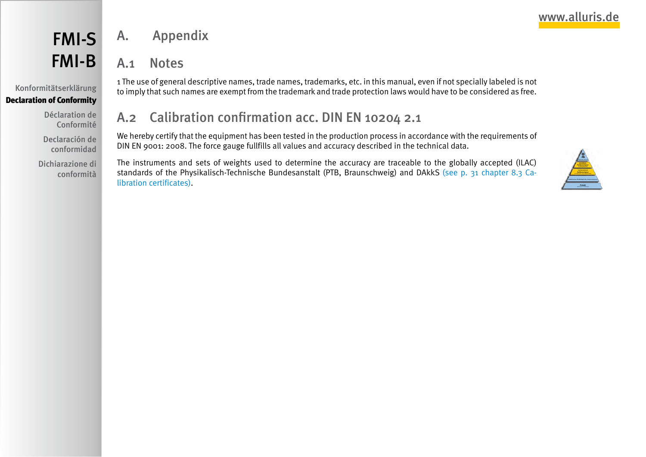# <span id="page-32-0"></span>FMI-S FMI-B

Konformitätserklärung Declaration of Conformity

> Déclaration de Conformité

Declaración de conformidad

Dichiarazione di conformità

# A.1 Notes

A. Appendix

1 The use of general descriptive names, trade names, trademarks, etc. in this manual, even if not specially labeled is not to imply that such names are exempt from the trademark and trade protection laws would have to be considered as free.

# A.2 Calibration confirmation acc. DIN EN 10204 2.1

We hereby certify that the equipment has been tested in the production process in accordance with the requirements of DIN EN 9001: 2008. The force gauge fullfills all values and accuracy described in the technical data.

The instruments and sets of weights used to determine the accuracy are traceable to the globally accepted (ILAC) standards of the Physikalisch-Technische Bundesanstalt (PTB, Braunschweig) and DAkkS [\(see p. 31 chapter 8.3 Ca](#page-30-1)[libration certificates\).](#page-30-1)